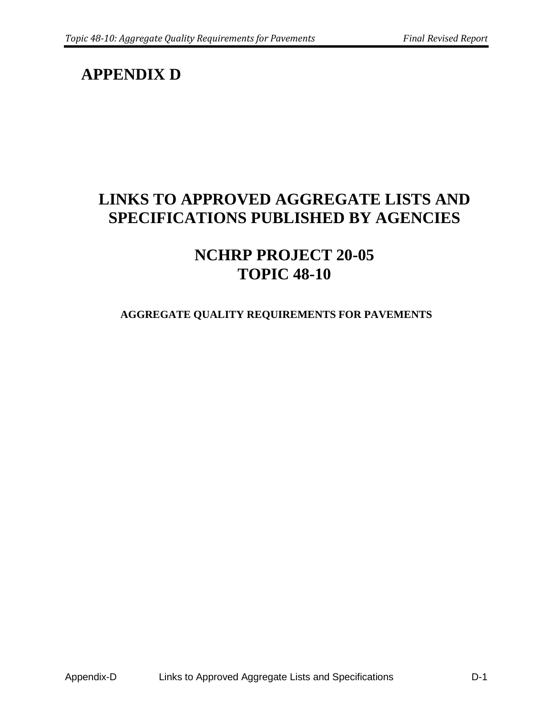## **APPENDIX D**

## **LINKS TO APPROVED AGGREGATE LISTS AND SPECIFICATIONS PUBLISHED BY AGENCIES**

## **NCHRP PROJECT 20-05 TOPIC 48-10**

## **AGGREGATE QUALITY REQUIREMENTS FOR PAVEMENTS**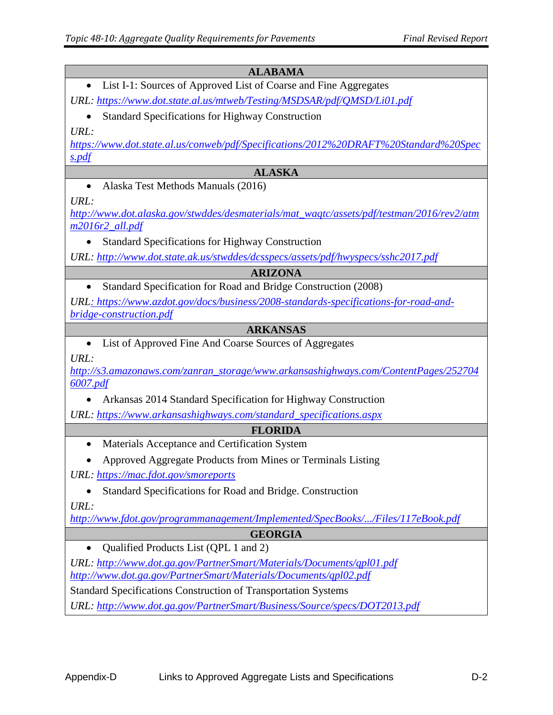| <b>ALABAMA</b>                                                                                         |  |
|--------------------------------------------------------------------------------------------------------|--|
| List I-1: Sources of Approved List of Coarse and Fine Aggregates                                       |  |
| URL: https://www.dot.state.al.us/mtweb/Testing/MSDSAR/pdf/QMSD/Li01.pdf                                |  |
| <b>Standard Specifications for Highway Construction</b>                                                |  |
| URL:                                                                                                   |  |
| https://www.dot.state.al.us/conweb/pdf/Specifications/2012%20DRAFT%20Standard%20Spec                   |  |
| s.pdf                                                                                                  |  |
| <b>ALASKA</b>                                                                                          |  |
| Alaska Test Methods Manuals (2016)<br>$\bullet$                                                        |  |
| URL:                                                                                                   |  |
| http://www.dot.alaska.gov/stwddes/desmaterials/mat_waqtc/assets/pdf/testman/2016/rev2/atm              |  |
| m2016r2_all.pdf                                                                                        |  |
| <b>Standard Specifications for Highway Construction</b>                                                |  |
| URL: http://www.dot.state.ak.us/stwddes/dcsspecs/assets/pdf/hwyspecs/sshc2017.pdf                      |  |
| <b>ARIZONA</b>                                                                                         |  |
| Standard Specification for Road and Bridge Construction (2008)<br>$\bullet$                            |  |
| URL: https://www.azdot.gov/docs/business/2008-standards-specifications-for-road-and-                   |  |
| bridge-construction.pdf                                                                                |  |
| <b>ARKANSAS</b>                                                                                        |  |
| List of Approved Fine And Coarse Sources of Aggregates<br>$\bullet$                                    |  |
| URL:                                                                                                   |  |
| http://s3.amazonaws.com/zanran_storage/www.arkansashighways.com/ContentPages/252704<br><u>6007.pdf</u> |  |
|                                                                                                        |  |
| Arkansas 2014 Standard Specification for Highway Construction                                          |  |
| URL: https://www.arkansashighways.com/standard_specifications.aspx                                     |  |
| <b>FLORIDA</b>                                                                                         |  |
| Materials Acceptance and Certification System                                                          |  |
| Approved Aggregate Products from Mines or Terminals Listing                                            |  |
| URL: https://mac.fdot.gov/smoreports                                                                   |  |
| Standard Specifications for Road and Bridge. Construction                                              |  |
| URL:                                                                                                   |  |
| http://www.fdot.gov/programmanagement/Implemented/SpecBooks//Files/117eBook.pdf                        |  |
| <b>GEORGIA</b>                                                                                         |  |
| Qualified Products List (QPL 1 and 2)<br>$\bullet$                                                     |  |
| URL: http://www.dot.ga.gov/PartnerSmart/Materials/Documents/qpl01.pdf                                  |  |
| http://www.dot.ga.gov/PartnerSmart/Materials/Documents/qpl02.pdf                                       |  |
| <b>Standard Specifications Construction of Transportation Systems</b>                                  |  |
| URL: http://www.dot.ga.gov/PartnerSmart/Business/Source/specs/DOT2013.pdf                              |  |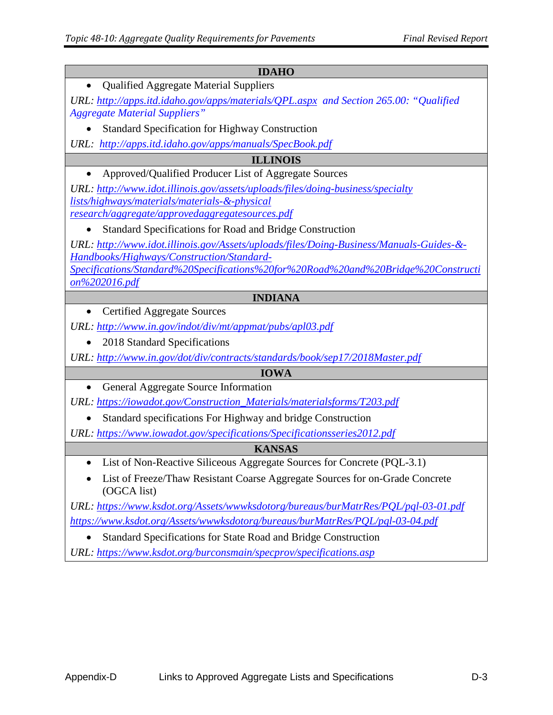| <b>IDAHO</b>                                                                                |  |  |
|---------------------------------------------------------------------------------------------|--|--|
| <b>Qualified Aggregate Material Suppliers</b>                                               |  |  |
| URL: http://apps.itd.idaho.gov/apps/materials/QPL.aspx and Section 265.00: "Qualified       |  |  |
| <b>Aggregate Material Suppliers"</b>                                                        |  |  |
| <b>Standard Specification for Highway Construction</b>                                      |  |  |
| URL: http://apps.itd.idaho.gov/apps/manuals/SpecBook.pdf                                    |  |  |
| <b>ILLINOIS</b>                                                                             |  |  |
| Approved/Qualified Producer List of Aggregate Sources                                       |  |  |
| URL: http://www.idot.illinois.gov/assets/uploads/files/doing-business/specialty             |  |  |
| lists/highways/materials/materials-&-physical                                               |  |  |
| research/aggregate/approvedaggregatesources.pdf                                             |  |  |
| Standard Specifications for Road and Bridge Construction<br>$\bullet$                       |  |  |
| URL: http://www.idot.illinois.gov/Assets/uploads/files/Doing-Business/Manuals-Guides-&-     |  |  |
| Handbooks/Highways/Construction/Standard-                                                   |  |  |
| Specifications/Standard%20Specifications%20for%20Road%20and%20Bridge%20Constructi           |  |  |
| $on\%202016.pdf$                                                                            |  |  |
|                                                                                             |  |  |
| <b>INDIANA</b>                                                                              |  |  |
| <b>Certified Aggregate Sources</b><br>$\bullet$                                             |  |  |
| URL: http://www.in.gov/indot/div/mt/appmat/pubs/apl03.pdf                                   |  |  |
| 2018 Standard Specifications                                                                |  |  |
| URL: http://www.in.gov/dot/div/contracts/standards/book/sep17/2018Master.pdf                |  |  |
| <b>IOWA</b>                                                                                 |  |  |
| General Aggregate Source Information<br>$\bullet$                                           |  |  |
| URL: https://iowadot.gov/Construction_Materials/materialsforms/T203.pdf                     |  |  |
| Standard specifications For Highway and bridge Construction                                 |  |  |
| URL: https://www.iowadot.gov/specifications/Specificationsseries2012.pdf                    |  |  |
| <b>KANSAS</b>                                                                               |  |  |
| List of Non-Reactive Siliceous Aggregate Sources for Concrete (PQL-3.1)                     |  |  |
| List of Freeze/Thaw Resistant Coarse Aggregate Sources for on-Grade Concrete<br>(OGCA list) |  |  |
| URL: https://www.ksdot.org/Assets/wwwksdotorg/bureaus/burMatrRes/PQL/pql-03-01.pdf          |  |  |

• Standard Specifications for State Road and Bridge Construction

*URL:<https://www.ksdot.org/burconsmain/specprov/specifications.asp>*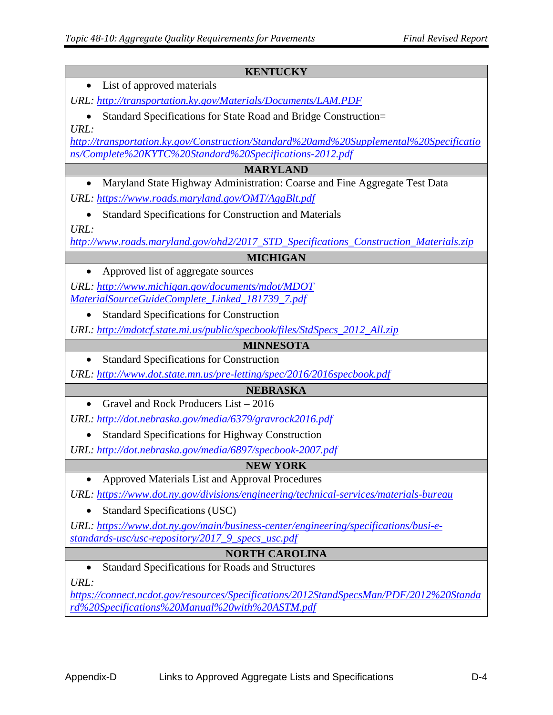| <b>KENTUCKY</b>                                                                                                                  |  |  |
|----------------------------------------------------------------------------------------------------------------------------------|--|--|
| List of approved materials                                                                                                       |  |  |
| URL: http://transportation.ky.gov/Materials/Documents/LAM.PDF                                                                    |  |  |
| Standard Specifications for State Road and Bridge Construction=                                                                  |  |  |
| URL:                                                                                                                             |  |  |
| http://transportation.ky.gov/Construction/Standard%20amd%20Supplemental%20Specificatio                                           |  |  |
| ns/Complete%20KYTC%20Standard%20Specifications-2012.pdf                                                                          |  |  |
| <b>MARYLAND</b>                                                                                                                  |  |  |
| Maryland State Highway Administration: Coarse and Fine Aggregate Test Data<br>URL: https://www.roads.maryland.gov/OMT/AggBlt.pdf |  |  |
|                                                                                                                                  |  |  |
| <b>Standard Specifications for Construction and Materials</b><br>URL:                                                            |  |  |
| http://www.roads.maryland.gov/ohd2/2017_STD_Specifications_Construction_Materials.zip                                            |  |  |
| <b>MICHIGAN</b>                                                                                                                  |  |  |
| Approved list of aggregate sources                                                                                               |  |  |
| URL: http://www.michigan.gov/documents/mdot/MDOT                                                                                 |  |  |
| MaterialSourceGuideComplete_Linked_181739_7.pdf                                                                                  |  |  |
| <b>Standard Specifications for Construction</b>                                                                                  |  |  |
| URL: http://mdotcf.state.mi.us/public/specbook/files/StdSpecs_2012_All.zip                                                       |  |  |
| <b>MINNESOTA</b>                                                                                                                 |  |  |
| <b>Standard Specifications for Construction</b>                                                                                  |  |  |
| URL: http://www.dot.state.mn.us/pre-letting/spec/2016/2016specbook.pdf                                                           |  |  |
| <b>NEBRASKA</b>                                                                                                                  |  |  |
| Gravel and Rock Producers List - 2016                                                                                            |  |  |
| URL: http://dot.nebraska.gov/media/6379/gravrock2016.pdf                                                                         |  |  |
| <b>Standard Specifications for Highway Construction</b>                                                                          |  |  |
| URL: http://dot.nebraska.gov/media/6897/specbook-2007.pdf                                                                        |  |  |
| <b>NEW YORK</b>                                                                                                                  |  |  |
| Approved Materials List and Approval Procedures                                                                                  |  |  |
| URL: https://www.dot.ny.gov/divisions/engineering/technical-services/materials-bureau                                            |  |  |
| <b>Standard Specifications (USC)</b><br>$\bullet$                                                                                |  |  |
| URL: https://www.dot.ny.gov/main/business-center/engineering/specifications/busi-e-                                              |  |  |
| standards-usc/usc-repository/2017_9_specs_usc.pdf                                                                                |  |  |
| <b>NORTH CAROLINA</b><br><b>Standard Specifications for Roads and Structures</b><br>$\bullet$                                    |  |  |
| URL:                                                                                                                             |  |  |
| https://connect.ncdot.gov/resources/Specifications/2012StandSpecsMan/PDF/2012%20Standa                                           |  |  |
| rd%20Specifications%20Manual%20with%20ASTM.pdf                                                                                   |  |  |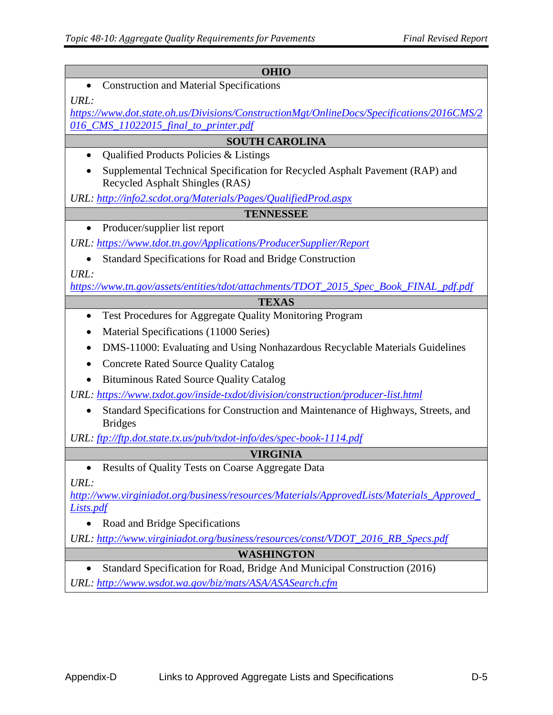| <b>OHIO</b>                                                                                                       |  |
|-------------------------------------------------------------------------------------------------------------------|--|
| <b>Construction and Material Specifications</b><br>$\bullet$                                                      |  |
| URL:                                                                                                              |  |
| https://www.dot.state.oh.us/Divisions/ConstructionMgt/OnlineDocs/Specifications/2016CMS/2                         |  |
| 016 CMS 11022015 final to printer.pdf                                                                             |  |
| <b>SOUTH CAROLINA</b>                                                                                             |  |
| Qualified Products Policies & Listings                                                                            |  |
| Supplemental Technical Specification for Recycled Asphalt Pavement (RAP) and<br>Recycled Asphalt Shingles (RAS)   |  |
| URL: http://info2.scdot.org/Materials/Pages/QualifiedProd.aspx                                                    |  |
| <b>TENNESSEE</b>                                                                                                  |  |
| Producer/supplier list report<br>$\bullet$                                                                        |  |
| URL: https://www.tdot.tn.gov/Applications/ProducerSupplier/Report                                                 |  |
| Standard Specifications for Road and Bridge Construction                                                          |  |
| URL:                                                                                                              |  |
| https://www.tn.gov/assets/entities/tdot/attachments/TDOT_2015_Spec_Book_FINAL_pdf.pdf                             |  |
| <b>TEXAS</b>                                                                                                      |  |
| Test Procedures for Aggregate Quality Monitoring Program<br>$\bullet$                                             |  |
| Material Specifications (11000 Series)                                                                            |  |
| DMS-11000: Evaluating and Using Nonhazardous Recyclable Materials Guidelines<br>$\bullet$                         |  |
| <b>Concrete Rated Source Quality Catalog</b>                                                                      |  |
| <b>Bituminous Rated Source Quality Catalog</b>                                                                    |  |
| URL: https://www.txdot.gov/inside-txdot/division/construction/producer-list.html                                  |  |
| Standard Specifications for Construction and Maintenance of Highways, Streets, and<br>$\bullet$<br><b>Bridges</b> |  |
| URL: ftp://ftp.dot.state.tx.us/pub/txdot-info/des/spec-book-1114.pdf                                              |  |
| <b>VIRGINIA</b>                                                                                                   |  |
| Results of Quality Tests on Coarse Aggregate Data                                                                 |  |
| URL:                                                                                                              |  |
| http://www.virginiadot.org/business/resources/Materials/ApprovedLists/Materials_Approved                          |  |
| <i>Lists.pdf</i>                                                                                                  |  |
| Road and Bridge Specifications                                                                                    |  |
| URL: http://www.virginiadot.org/business/resources/const/VDOT_2016_RB_Specs.pdf                                   |  |
| WASHINGTON                                                                                                        |  |
| Standard Specification for Road, Bridge And Municipal Construction (2016)<br>$\bullet$                            |  |